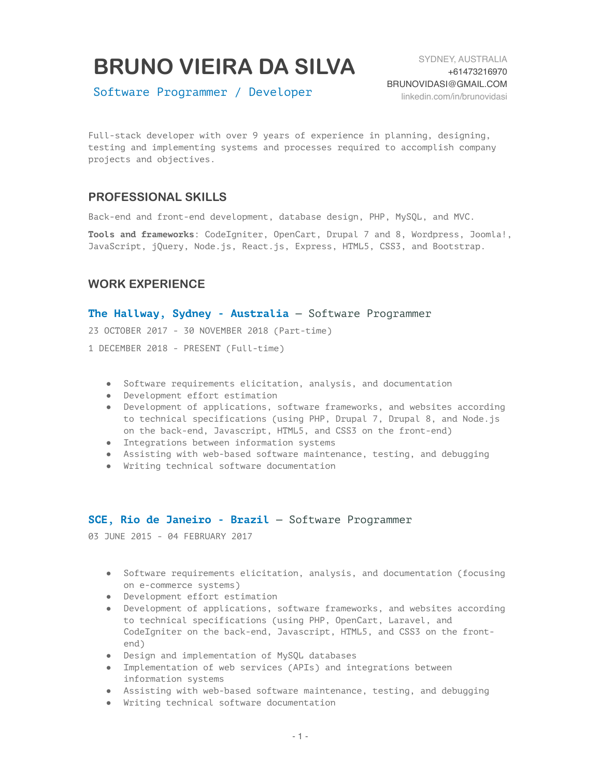# **BRUNO VIEIRA DA SILVA**

Software Programmer / Developer

Full-stack developer with over 9 years of experience in planning, designing, testing and implementing systems and processes required to accomplish company projects and objectives.

# **PROFESSIONAL SKILLS**

Back-end and front-end development, database design, PHP, MySQL, and MVC.

**Tools and frameworks**: CodeIgniter, OpenCart, Drupal 7 and 8, Wordpress, Joomla!, JavaScript, jQuery, Node.js, React.js, Express, HTML5, CSS3, and Bootstrap.

## **WORK EXPERIENCE**

#### **The Hallway, Sydney - Australia** — Software Programmer

23 OCTOBER 2017 - 30 NOVEMBER 2018 (Part-time)

1 DECEMBER 2018 - PRESENT (Full-time)

- Software requirements elicitation, analysis, and documentation
- Development effort estimation
- Development of applications, software frameworks, and websites according to technical specifications (using PHP, Drupal 7, Drupal 8, and Node.js on the back-end, Javascript, HTML5, and CSS3 on the front-end)
- Integrations between information systems
- Assisting with web-based software maintenance, testing, and debugging
- Writing technical software documentation

#### **SCE, Rio de Janeiro - Brazil** — Software Programmer

03 JUNE 2015 - 04 FEBRUARY 2017

- Software requirements elicitation, analysis, and documentation (focusing on e-commerce systems)
- Development effort estimation
- Development of applications, software frameworks, and websites according to technical specifications (using PHP, OpenCart, Laravel, and CodeIgniter on the back-end, Javascript, HTML5, and CSS3 on the frontend)
- Design and implementation of MySQL databases
- Implementation of web services (APIs) and integrations between information systems
- Assisting with web-based software maintenance, testing, and debugging
- Writing technical software documentation